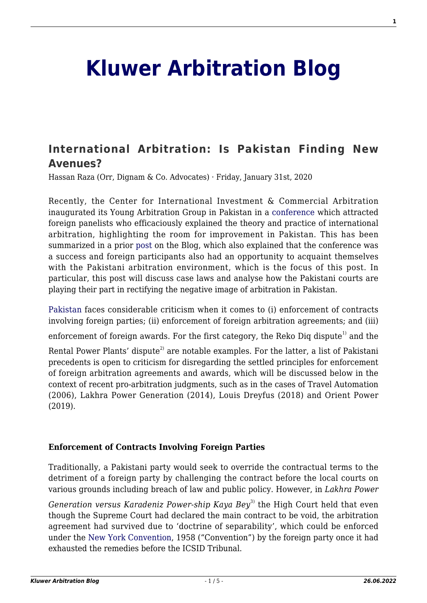# **[Kluwer Arbitration Blog](http://arbitrationblog.kluwerarbitration.com/)**

# **[International Arbitration: Is Pakistan Finding New](http://arbitrationblog.kluwerarbitration.com/2020/01/31/international-arbitration-is-pakistan-finding-new-avenues/) [Avenues?](http://arbitrationblog.kluwerarbitration.com/2020/01/31/international-arbitration-is-pakistan-finding-new-avenues/)**

Hassan Raza (Orr, Dignam & Co. Advocates) · Friday, January 31st, 2020

Recently, the Center for International Investment & Commercial Arbitration inaugurated its Young Arbitration Group in Pakistan in a [conference](https://ciica.org/ciica-yag-inaugural-event/) which attracted foreign panelists who efficaciously explained the theory and practice of international arbitration, highlighting the room for improvement in Pakistan. This has been summarized in a prior [post](http://arbitrationblog.kluwerarbitration.com/2020/01/14/the-dawn-of-a-new-era-for-arbitration-in-pakistan-highlights-from-the-inaugural-conference-of-ciicas-young-arbitration-group/) on the Blog, which also explained that the conference was a success and foreign participants also had an opportunity to acquaint themselves with the Pakistani arbitration environment, which is the focus of this post. In particular, this post will discuss case laws and analyse how the Pakistani courts are playing their part in rectifying the negative image of arbitration in Pakistan.

[Pakistan](http://www.kluwerarbitration.com/document/kli-ka-ijaa-09-02-003-n?q=%22Pakistan%20arbitration%22) faces considerable criticism when it comes to (i) enforcement of contracts involving foreign parties; (ii) enforcement of foreign arbitration agreements; and (iii) enforcement of foreign awards. For the first category, the Reko Diq dispute<sup>1)</sup> and the Rental Power Plants' dispute<sup>2)</sup> are notable examples. For the latter, a list of Pakistani precedents is open to criticism for disregarding the settled principles for enforcement of foreign arbitration agreements and awards, which will be discussed below in the context of recent pro-arbitration judgments, such as in the cases of Travel Automation (2006), Lakhra Power Generation (2014), Louis Dreyfus (2018) and Orient Power (2019).

#### **Enforcement of Contracts Involving Foreign Parties**

Traditionally, a Pakistani party would seek to override the contractual terms to the detriment of a foreign party by challenging the contract before the local courts on various grounds including breach of law and public policy. However, in *Lakhra Power*

*Generation versus Karadeniz Power-ship Kaya Bey*<sup>3)</sup> the High Court held that even though the Supreme Court had declared the main contract to be void, the arbitration agreement had survived due to 'doctrine of separability', which could be enforced under the [New York Convention](https://www.uncitral.org/pdf/english/texts/arbitration/NY-conv/New-York-Convention-E.pdf), 1958 ("Convention") by the foreign party once it had exhausted the remedies before the ICSID Tribunal.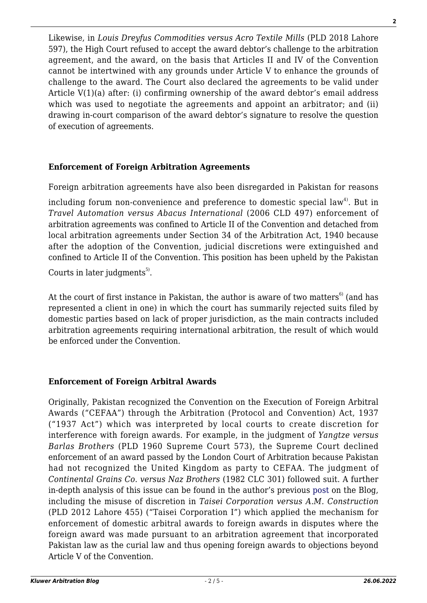Likewise, in *Louis Dreyfus Commodities versus Acro Textile Mills* (PLD 2018 Lahore 597), the High Court refused to accept the award debtor's challenge to the arbitration agreement, and the award, on the basis that Articles II and IV of the Convention cannot be intertwined with any grounds under Article V to enhance the grounds of challenge to the award. The Court also declared the agreements to be valid under Article V(1)(a) after: (i) confirming ownership of the award debtor's email address which was used to negotiate the agreements and appoint an arbitrator; and (ii) drawing in-court comparison of the award debtor's signature to resolve the question of execution of agreements.

### **Enforcement of Foreign Arbitration Agreements**

Foreign arbitration agreements have also been disregarded in Pakistan for reasons

including forum non-convenience and preference to domestic special law<sup>4</sup>. But in *Travel Automation versus Abacus International* (2006 CLD 497) enforcement of arbitration agreements was confined to Article II of the Convention and detached from local arbitration agreements under Section 34 of the Arbitration Act, 1940 because after the adoption of the Convention, judicial discretions were extinguished and confined to Article II of the Convention. This position has been upheld by the Pakistan

Courts in later judgments $5$ .

At the court of first instance in Pakistan, the author is aware of two matters $^{6}$  (and has represented a client in one) in which the court has summarily rejected suits filed by domestic parties based on lack of proper jurisdiction, as the main contracts included arbitration agreements requiring international arbitration, the result of which would be enforced under the Convention.

## **Enforcement of Foreign Arbitral Awards**

Originally, Pakistan recognized the Convention on the Execution of Foreign Arbitral Awards ("CEFAA") through the Arbitration (Protocol and Convention) Act, 1937 ("1937 Act") which was interpreted by local courts to create discretion for interference with foreign awards. For example, in the judgment of *Yangtze versus Barlas Brothers* (PLD 1960 Supreme Court 573), the Supreme Court declined enforcement of an award passed by the London Court of Arbitration because Pakistan had not recognized the United Kingdom as party to CEFAA. The judgment of *Continental Grains Co. versus Naz Brothers* (1982 CLC 301) followed suit. A further in-depth analysis of this issue can be found in the author's previous [post](http://arbitrationblog.kluwerarbitration.com/2018/04/24/pakistans-dilemma-foreign-arbitrations/) on the Blog, including the misuse of discretion in *Taisei Corporation versus A.M. Construction* (PLD 2012 Lahore 455) ("Taisei Corporation I") which applied the mechanism for enforcement of domestic arbitral awards to foreign awards in disputes where the foreign award was made pursuant to an arbitration agreement that incorporated Pakistan law as the curial law and thus opening foreign awards to objections beyond Article V of the Convention.

**2**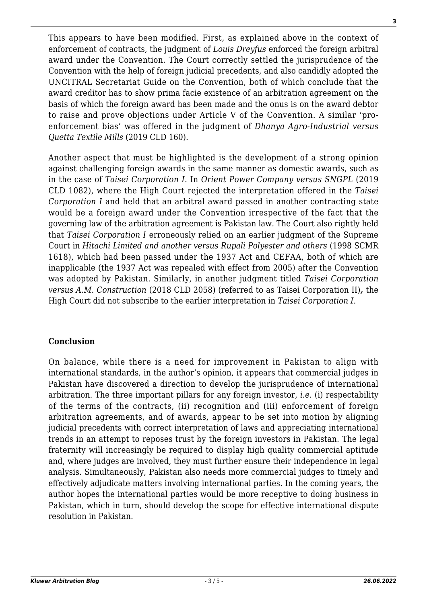This appears to have been modified. First, as explained above in the context of enforcement of contracts, the judgment of *Louis Dreyfus* enforced the foreign arbitral award under the Convention. The Court correctly settled the jurisprudence of the Convention with the help of foreign judicial precedents, and also candidly adopted the UNCITRAL Secretariat Guide on the Convention, both of which conclude that the award creditor has to show prima facie existence of an arbitration agreement on the basis of which the foreign award has been made and the onus is on the award debtor to raise and prove objections under Article V of the Convention. A similar 'proenforcement bias' was offered in the judgment of *Dhanya Agro-Industrial versus Quetta Textile Mills* (2019 CLD 160)*.*

Another aspect that must be highlighted is the development of a strong opinion against challenging foreign awards in the same manner as domestic awards, such as in the case of *Taisei Corporation I*. In *Orient Power Company versus SNGPL* (2019 CLD 1082), where the High Court rejected the interpretation offered in the *Taisei Corporation I* and held that an arbitral award passed in another contracting state would be a foreign award under the Convention irrespective of the fact that the governing law of the arbitration agreement is Pakistan law. The Court also rightly held that *Taisei Corporation I* erroneously relied on an earlier judgment of the Supreme Court in *Hitachi Limited and another versus Rupali Polyester and others* (1998 SCMR 1618), which had been passed under the 1937 Act and CEFAA, both of which are inapplicable (the 1937 Act was repealed with effect from 2005) after the Convention was adopted by Pakistan. Similarly, in another judgment titled *Taisei Corporation versus A.M. Construction* (2018 CLD 2058) (referred to as Taisei Corporation II)*,* the High Court did not subscribe to the earlier interpretation in *Taisei Corporation I.*

#### **Conclusion**

On balance, while there is a need for improvement in Pakistan to align with international standards, in the author's opinion, it appears that commercial judges in Pakistan have discovered a direction to develop the jurisprudence of international arbitration. The three important pillars for any foreign investor, *i.e*. (i) respectability of the terms of the contracts, (ii) recognition and (iii) enforcement of foreign arbitration agreements, and of awards, appear to be set into motion by aligning judicial precedents with correct interpretation of laws and appreciating international trends in an attempt to reposes trust by the foreign investors in Pakistan. The legal fraternity will increasingly be required to display high quality commercial aptitude and, where judges are involved, they must further ensure their independence in legal analysis. Simultaneously, Pakistan also needs more commercial judges to timely and effectively adjudicate matters involving international parties. In the coming years, the author hopes the international parties would be more receptive to doing business in Pakistan, which in turn, should develop the scope for effective international dispute resolution in Pakistan.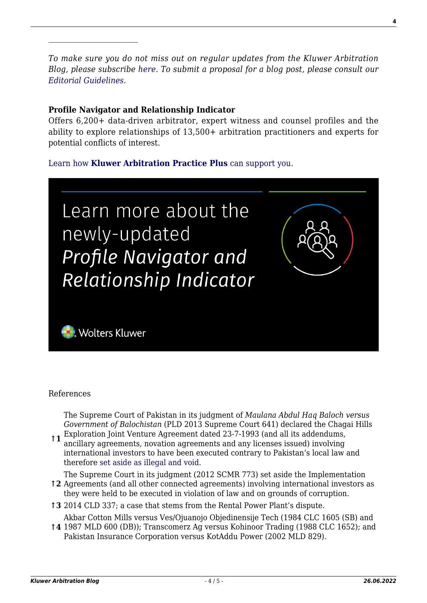*To make sure you do not miss out on regular updates from the Kluwer Arbitration Blog, please subscribe [here](http://arbitrationblog.kluwerarbitration.com/newsletter/). To submit a proposal for a blog post, please consult our [Editorial Guidelines.](http://arbitrationblog.kluwerarbitration.com/editorial-guidelines/)*

#### **Profile Navigator and Relationship Indicator**

Offers 6,200+ data-driven arbitrator, expert witness and counsel profiles and the ability to explore relationships of 13,500+ arbitration practitioners and experts for potential conflicts of interest.

[Learn how](https://www.wolterskluwer.com/en/solutions/kluwerarbitration/practiceplus?utm_source=arbitrationblog&utm_medium=articleCTA&utm_campaign=article-banner) **[Kluwer Arbitration Practice Plus](https://www.wolterskluwer.com/en/solutions/kluwerarbitration/practiceplus?utm_source=arbitrationblog&utm_medium=articleCTA&utm_campaign=article-banner)** [can support you.](https://www.wolterskluwer.com/en/solutions/kluwerarbitration/practiceplus?utm_source=arbitrationblog&utm_medium=articleCTA&utm_campaign=article-banner)



#### References

The Supreme Court of Pakistan in its judgment of *Maulana Abdul Haq Baloch versus Government of Balochistan* (PLD 2013 Supreme Court 641) declared the Chagai Hills

**↑1** Exploration Joint Venture Agreement dated 23-7-1993 (and all its addendums, ancillary agreements, novation agreements and any licenses issued) involving international investors to have been executed contrary to Pakistan's local law and therefore [set aside as illegal and void](http://arbitrationblog.kluwerarbitration.com/2012/02/27/pakistani-court-interference-in-arbitration-proceedings-yet-again/).

**↑2** Agreements (and all other connected agreements) involving international investors as The Supreme Court in its judgment (2012 SCMR 773) set aside the Implementation they were held to be executed in violation of law and on grounds of corruption.

**↑3** 2014 CLD 337; a case that stems from the Rental Power Plant's dispute.

Akbar Cotton Mills versus Ves/Ojuanojo Objedinensije Tech (1984 CLC 1605 (SB) and

**↑4** 1987 MLD 600 (DB)); Transcomerz Ag versus Kohinoor Trading (1988 CLC 1652); and Pakistan Insurance Corporation versus KotAddu Power (2002 MLD 829).